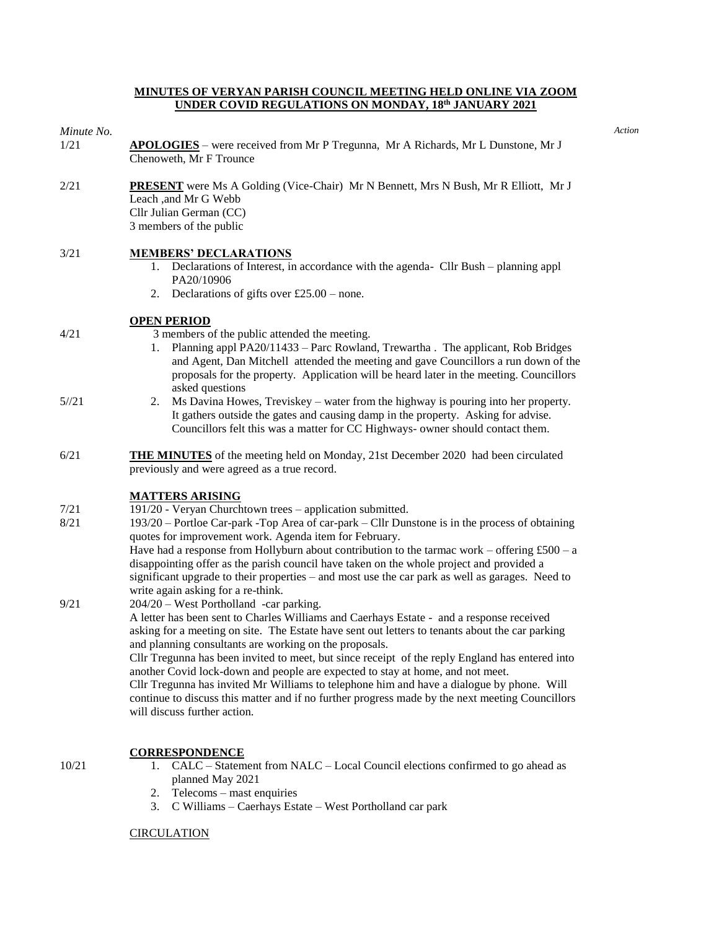#### **MINUTES OF VERYAN PARISH COUNCIL MEETING HELD ONLINE VIA ZOOM UNDER COVID REGULATIONS ON MONDAY, 18th JANUARY 2021**

## *Minute No. Action*

4/21

10/21

- 1/21 **APOLOGIES** were received from Mr P Tregunna, Mr A Richards, Mr L Dunstone, Mr J Chenoweth, Mr F Trounce
- 2/21 **PRESENT** were Ms A Golding (Vice-Chair) Mr N Bennett, Mrs N Bush, Mr R Elliott, Mr J Leach ,and Mr G Webb Cllr Julian German (CC) 3 members of the public

## 3/21 **MEMBERS' DECLARATIONS**

- 1. Declarations of Interest, in accordance with the agenda- Cllr Bush planning appl PA20/10906
- 2. Declarations of gifts over  $£25.00 none$ .

### **OPEN PERIOD**

3 members of the public attended the meeting.

- 1. Planning appl PA20/11433 Parc Rowland, Trewartha . The applicant, Rob Bridges and Agent, Dan Mitchell attended the meeting and gave Councillors a run down of the proposals for the property. Application will be heard later in the meeting. Councillors asked questions
- 5//21 2. Ms Davina Howes, Treviskey – water from the highway is pouring into her property. It gathers outside the gates and causing damp in the property. Asking for advise. Councillors felt this was a matter for CC Highways- owner should contact them.
- 6/21 **THE MINUTES** of the meeting held on Monday, 21st December 2020 had been circulated previously and were agreed as a true record.

## **MATTERS ARISING**

- 7/21 191/20 - Veryan Churchtown trees – application submitted.
- 8/21 193/20 – Portloe Car-park -Top Area of car-park – Cllr Dunstone is in the process of obtaining quotes for improvement work. Agenda item for February.

Have had a response from Hollyburn about contribution to the tarmac work – offering £500 – a disappointing offer as the parish council have taken on the whole project and provided a significant upgrade to their properties – and most use the car park as well as garages. Need to write again asking for a re-think.

9/21 204/20 – West Portholland -car parking. A letter has been sent to Charles Williams and Caerhays Estate - and a response received asking for a meeting on site. The Estate have sent out letters to tenants about the car parking and planning consultants are working on the proposals. Cllr Tregunna has been invited to meet, but since receipt of the reply England has entered into another Covid lock-down and people are expected to stay at home, and not meet. Cllr Tregunna has invited Mr Williams to telephone him and have a dialogue by phone. Will

continue to discuss this matter and if no further progress made by the next meeting Councillors will discuss further action.

### **CORRESPONDENCE**

- 1. CALC Statement from NALC Local Council elections confirmed to go ahead as planned May 2021
- 2. Telecoms mast enquiries
- 3. C Williams Caerhays Estate West Portholland car park

### **CIRCULATION**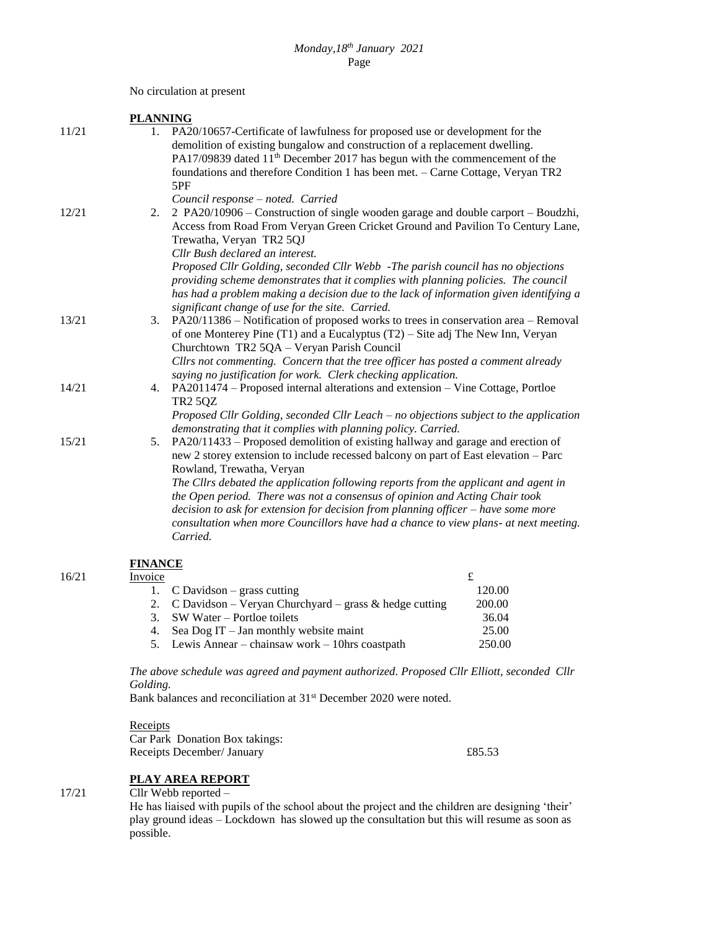No circulation at present

|       | <b>PLANNING</b> |                                                                                                                                                                        |  |  |
|-------|-----------------|------------------------------------------------------------------------------------------------------------------------------------------------------------------------|--|--|
| 11/21 |                 | 1. PA20/10657-Certificate of lawfulness for proposed use or development for the<br>demolition of existing bungalow and construction of a replacement dwelling.         |  |  |
|       |                 | PA17/09839 dated 11 <sup>th</sup> December 2017 has begun with the commencement of the                                                                                 |  |  |
|       |                 | foundations and therefore Condition 1 has been met. - Carne Cottage, Veryan TR2                                                                                        |  |  |
|       |                 | 5PF                                                                                                                                                                    |  |  |
|       |                 | Council response - noted. Carried                                                                                                                                      |  |  |
| 12/21 | 2.              | 2 PA20/10906 – Construction of single wooden garage and double carport – Boudzhi,                                                                                      |  |  |
|       |                 | Access from Road From Veryan Green Cricket Ground and Pavilion To Century Lane,                                                                                        |  |  |
|       |                 | Trewatha, Veryan TR2 5QJ                                                                                                                                               |  |  |
|       |                 | Cllr Bush declared an interest.                                                                                                                                        |  |  |
|       |                 | Proposed Cllr Golding, seconded Cllr Webb - The parish council has no objections                                                                                       |  |  |
|       |                 | providing scheme demonstrates that it complies with planning policies. The council                                                                                     |  |  |
|       |                 | has had a problem making a decision due to the lack of information given identifying a                                                                                 |  |  |
|       |                 | significant change of use for the site. Carried.                                                                                                                       |  |  |
| 13/21 |                 | 3. PA20/11386 – Notification of proposed works to trees in conservation area – Removal                                                                                 |  |  |
|       |                 | of one Monterey Pine $(T1)$ and a Eucalyptus $(T2)$ – Site adj The New Inn, Veryan                                                                                     |  |  |
|       |                 | Churchtown TR2 5QA - Veryan Parish Council                                                                                                                             |  |  |
|       |                 | Cllrs not commenting. Concern that the tree officer has posted a comment already                                                                                       |  |  |
|       |                 | saying no justification for work. Clerk checking application.                                                                                                          |  |  |
| 14/21 | 4.              | PA2011474 – Proposed internal alterations and extension – Vine Cottage, Portloe                                                                                        |  |  |
|       |                 | <b>TR2 5QZ</b>                                                                                                                                                         |  |  |
|       |                 | Proposed Cllr Golding, seconded Cllr Leach – no objections subject to the application                                                                                  |  |  |
|       |                 | demonstrating that it complies with planning policy. Carried.                                                                                                          |  |  |
| 15/21 | 5.              | PA20/11433 – Proposed demolition of existing hallway and garage and erection of<br>new 2 storey extension to include recessed balcony on part of East elevation - Parc |  |  |
|       |                 | Rowland, Trewatha, Veryan                                                                                                                                              |  |  |
|       |                 | The Cllrs debated the application following reports from the applicant and agent in                                                                                    |  |  |
|       |                 | the Open period. There was not a consensus of opinion and Acting Chair took                                                                                            |  |  |
|       |                 | decision to ask for extension for decision from planning officer – have some more                                                                                      |  |  |
|       |                 | consultation when more Councillors have had a chance to view plans- at next meeting.                                                                                   |  |  |
|       |                 | Carried.                                                                                                                                                               |  |  |
|       |                 |                                                                                                                                                                        |  |  |

# **FINANCE**

## 16/21

| Invoice |                                                              |        |
|---------|--------------------------------------------------------------|--------|
|         | 1. $C$ Davidson – grass cutting                              | 120.00 |
|         | 2. C Davidson – Veryan Churchyard – grass $\&$ hedge cutting | 200.00 |
|         | 3. SW Water – Portloe toilets                                | 36.04  |
|         | 4. Sea Dog IT $-$ Jan monthly website maint                  | 25.00  |
|         | 5. Lewis Annear – chainsaw work – 10hrs coastpath            | 250.00 |

*The above schedule was agreed and payment authorized. Proposed Cllr Elliott, seconded Cllr Golding.*

Bank balances and reconciliation at 31<sup>st</sup> December 2020 were noted.

**Receipts** Car Park Donation Box takings: Receipts December/ January £85.53

## **PLAY AREA REPORT**

17/21

Cllr Webb reported –

He has liaised with pupils of the school about the project and the children are designing 'their' play ground ideas – Lockdown has slowed up the consultation but this will resume as soon as possible.